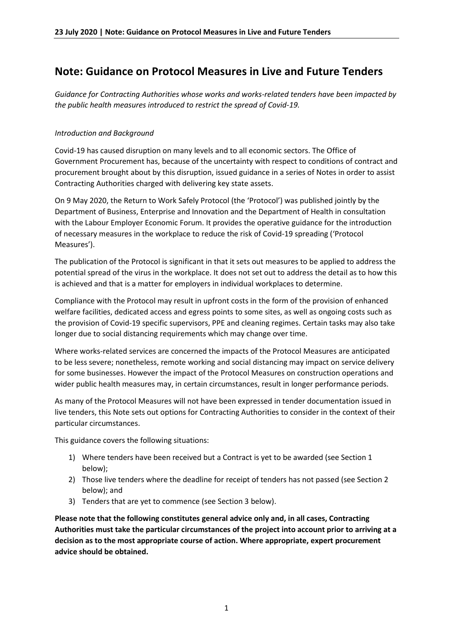## **Note: Guidance on Protocol Measures in Live and Future Tenders**

*Guidance for Contracting Authorities whose works and works-related tenders have been impacted by the public health measures introduced to restrict the spread of Covid-19.*

## *Introduction and Background*

Covid-19 has caused disruption on many levels and to all economic sectors. The Office of Government Procurement has, because of the uncertainty with respect to conditions of contract and procurement brought about by this disruption, issued guidance in a series of Notes in order to assist Contracting Authorities charged with delivering key state assets.

On 9 May 2020, the Return to Work Safely Protocol (the 'Protocol') was published jointly by the Department of Business, Enterprise and Innovation and the Department of Health in consultation with the Labour Employer Economic Forum. It provides the operative guidance for the introduction of necessary measures in the workplace to reduce the risk of Covid-19 spreading ('Protocol Measures').

The publication of the Protocol is significant in that it sets out measures to be applied to address the potential spread of the virus in the workplace. It does not set out to address the detail as to how this is achieved and that is a matter for employers in individual workplaces to determine.

Compliance with the Protocol may result in upfront costs in the form of the provision of enhanced welfare facilities, dedicated access and egress points to some sites, as well as ongoing costs such as the provision of Covid-19 specific supervisors, PPE and cleaning regimes. Certain tasks may also take longer due to social distancing requirements which may change over time.

Where works-related services are concerned the impacts of the Protocol Measures are anticipated to be less severe; nonetheless, remote working and social distancing may impact on service delivery for some businesses. However the impact of the Protocol Measures on construction operations and wider public health measures may, in certain circumstances, result in longer performance periods.

As many of the Protocol Measures will not have been expressed in tender documentation issued in live tenders, this Note sets out options for Contracting Authorities to consider in the context of their particular circumstances.

This guidance covers the following situations:

- 1) Where tenders have been received but a Contract is yet to be awarded (see Section 1 below);
- 2) Those live tenders where the deadline for receipt of tenders has not passed (see Section 2 below); and
- 3) Tenders that are yet to commence (see Section 3 below).

**Please note that the following constitutes general advice only and, in all cases, Contracting Authorities must take the particular circumstances of the project into account prior to arriving at a decision as to the most appropriate course of action. Where appropriate, expert procurement advice should be obtained.**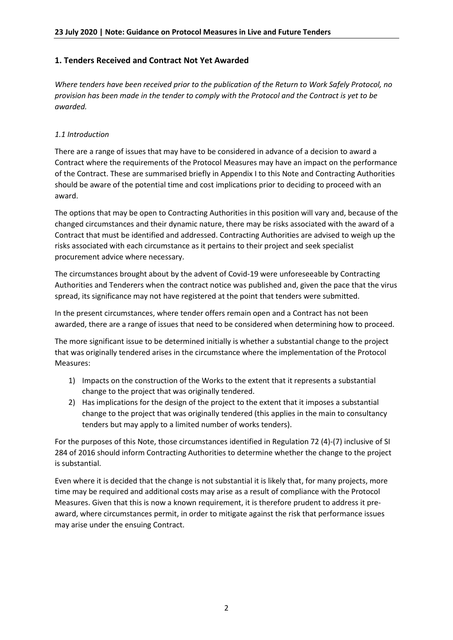## **1. Tenders Received and Contract Not Yet Awarded**

*Where tenders have been received prior to the publication of the Return to Work Safely Protocol, no provision has been made in the tender to comply with the Protocol and the Contract is yet to be awarded.*

### *1.1 Introduction*

There are a range of issues that may have to be considered in advance of a decision to award a Contract where the requirements of the Protocol Measures may have an impact on the performance of the Contract. These are summarised briefly in Appendix I to this Note and Contracting Authorities should be aware of the potential time and cost implications prior to deciding to proceed with an award.

The options that may be open to Contracting Authorities in this position will vary and, because of the changed circumstances and their dynamic nature, there may be risks associated with the award of a Contract that must be identified and addressed. Contracting Authorities are advised to weigh up the risks associated with each circumstance as it pertains to their project and seek specialist procurement advice where necessary.

The circumstances brought about by the advent of Covid-19 were unforeseeable by Contracting Authorities and Tenderers when the contract notice was published and, given the pace that the virus spread, its significance may not have registered at the point that tenders were submitted.

In the present circumstances, where tender offers remain open and a Contract has not been awarded, there are a range of issues that need to be considered when determining how to proceed.

The more significant issue to be determined initially is whether a substantial change to the project that was originally tendered arises in the circumstance where the implementation of the Protocol Measures:

- 1) Impacts on the construction of the Works to the extent that it represents a substantial change to the project that was originally tendered.
- 2) Has implications for the design of the project to the extent that it imposes a substantial change to the project that was originally tendered (this applies in the main to consultancy tenders but may apply to a limited number of works tenders).

For the purposes of this Note, those circumstances identified in Regulation 72 (4)-(7) inclusive of SI 284 of 2016 should inform Contracting Authorities to determine whether the change to the project is substantial.

Even where it is decided that the change is not substantial it is likely that, for many projects, more time may be required and additional costs may arise as a result of compliance with the Protocol Measures. Given that this is now a known requirement, it is therefore prudent to address it preaward, where circumstances permit, in order to mitigate against the risk that performance issues may arise under the ensuing Contract.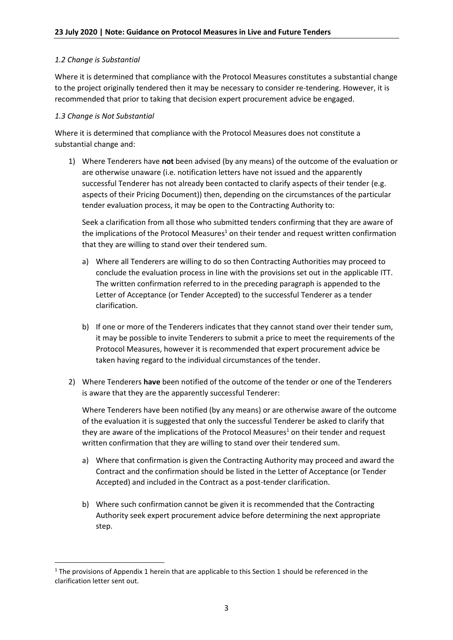#### *1.2 Change is Substantial*

Where it is determined that compliance with the Protocol Measures constitutes a substantial change to the project originally tendered then it may be necessary to consider re-tendering. However, it is recommended that prior to taking that decision expert procurement advice be engaged.

#### *1.3 Change is Not Substantial*

1

Where it is determined that compliance with the Protocol Measures does not constitute a substantial change and:

1) Where Tenderers have **not** been advised (by any means) of the outcome of the evaluation or are otherwise unaware (i.e. notification letters have not issued and the apparently successful Tenderer has not already been contacted to clarify aspects of their tender (e.g. aspects of their Pricing Document)) then, depending on the circumstances of the particular tender evaluation process, it may be open to the Contracting Authority to:

Seek a clarification from all those who submitted tenders confirming that they are aware of the implications of the Protocol Measures<sup>1</sup> on their tender and request written confirmation that they are willing to stand over their tendered sum.

- a) Where all Tenderers are willing to do so then Contracting Authorities may proceed to conclude the evaluation process in line with the provisions set out in the applicable ITT. The written confirmation referred to in the preceding paragraph is appended to the Letter of Acceptance (or Tender Accepted) to the successful Tenderer as a tender clarification.
- b) If one or more of the Tenderers indicates that they cannot stand over their tender sum, it may be possible to invite Tenderers to submit a price to meet the requirements of the Protocol Measures, however it is recommended that expert procurement advice be taken having regard to the individual circumstances of the tender.
- 2) Where Tenderers **have** been notified of the outcome of the tender or one of the Tenderers is aware that they are the apparently successful Tenderer:

Where Tenderers have been notified (by any means) or are otherwise aware of the outcome of the evaluation it is suggested that only the successful Tenderer be asked to clarify that they are aware of the implications of the Protocol Measures<sup>1</sup> on their tender and request written confirmation that they are willing to stand over their tendered sum.

- a) Where that confirmation is given the Contracting Authority may proceed and award the Contract and the confirmation should be listed in the Letter of Acceptance (or Tender Accepted) and included in the Contract as a post-tender clarification.
- b) Where such confirmation cannot be given it is recommended that the Contracting Authority seek expert procurement advice before determining the next appropriate step.

<sup>&</sup>lt;sup>1</sup> The provisions of Appendix 1 herein that are applicable to this Section 1 should be referenced in the clarification letter sent out.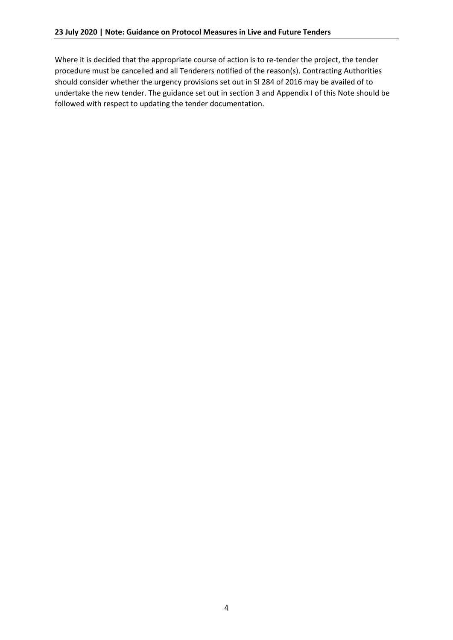Where it is decided that the appropriate course of action is to re-tender the project, the tender procedure must be cancelled and all Tenderers notified of the reason(s). Contracting Authorities should consider whether the urgency provisions set out in SI 284 of 2016 may be availed of to undertake the new tender. The guidance set out in section 3 and Appendix I of this Note should be followed with respect to updating the tender documentation.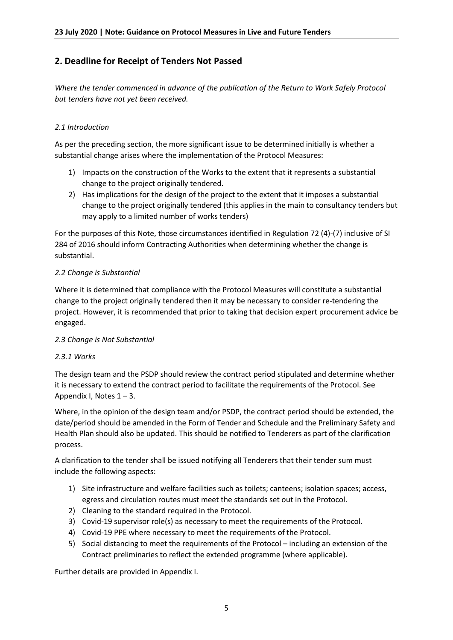## **2. Deadline for Receipt of Tenders Not Passed**

*Where the tender commenced in advance of the publication of the Return to Work Safely Protocol but tenders have not yet been received.*

### *2.1 Introduction*

As per the preceding section, the more significant issue to be determined initially is whether a substantial change arises where the implementation of the Protocol Measures:

- 1) Impacts on the construction of the Works to the extent that it represents a substantial change to the project originally tendered.
- 2) Has implications for the design of the project to the extent that it imposes a substantial change to the project originally tendered (this applies in the main to consultancy tenders but may apply to a limited number of works tenders)

For the purposes of this Note, those circumstances identified in Regulation 72 (4)-(7) inclusive of SI 284 of 2016 should inform Contracting Authorities when determining whether the change is substantial.

#### *2.2 Change is Substantial*

Where it is determined that compliance with the Protocol Measures will constitute a substantial change to the project originally tendered then it may be necessary to consider re-tendering the project. However, it is recommended that prior to taking that decision expert procurement advice be engaged.

### *2.3 Change is Not Substantial*

### *2.3.1 Works*

The design team and the PSDP should review the contract period stipulated and determine whether it is necessary to extend the contract period to facilitate the requirements of the Protocol. See Appendix I, Notes  $1 - 3$ .

Where, in the opinion of the design team and/or PSDP, the contract period should be extended, the date/period should be amended in the Form of Tender and Schedule and the Preliminary Safety and Health Plan should also be updated. This should be notified to Tenderers as part of the clarification process.

A clarification to the tender shall be issued notifying all Tenderers that their tender sum must include the following aspects:

- 1) Site infrastructure and welfare facilities such as toilets; canteens; isolation spaces; access, egress and circulation routes must meet the standards set out in the Protocol.
- 2) Cleaning to the standard required in the Protocol.
- 3) Covid-19 supervisor role(s) as necessary to meet the requirements of the Protocol.
- 4) Covid-19 PPE where necessary to meet the requirements of the Protocol.
- 5) Social distancing to meet the requirements of the Protocol including an extension of the Contract preliminaries to reflect the extended programme (where applicable).

Further details are provided in Appendix I.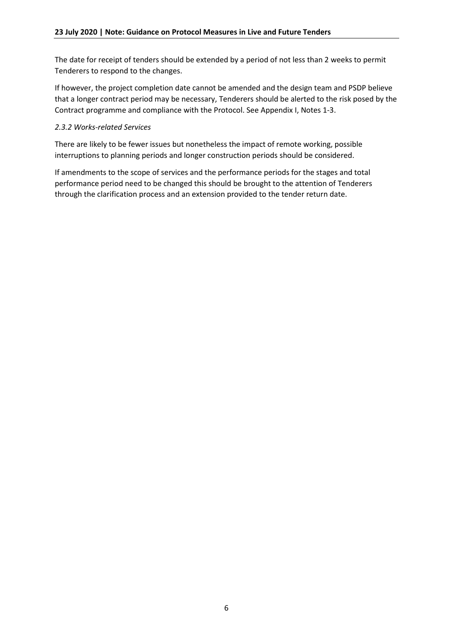The date for receipt of tenders should be extended by a period of not less than 2 weeks to permit Tenderers to respond to the changes.

If however, the project completion date cannot be amended and the design team and PSDP believe that a longer contract period may be necessary, Tenderers should be alerted to the risk posed by the Contract programme and compliance with the Protocol. See Appendix I, Notes 1-3.

### *2.3.2 Works-related Services*

There are likely to be fewer issues but nonetheless the impact of remote working, possible interruptions to planning periods and longer construction periods should be considered.

If amendments to the scope of services and the performance periods for the stages and total performance period need to be changed this should be brought to the attention of Tenderers through the clarification process and an extension provided to the tender return date.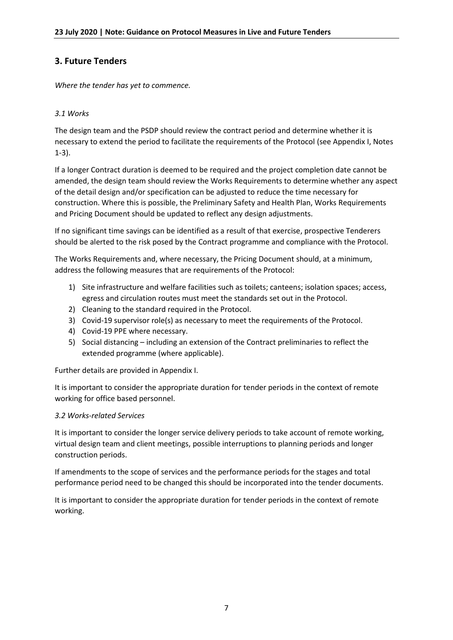## **3. Future Tenders**

*Where the tender has yet to commence.*

### *3.1 Works*

The design team and the PSDP should review the contract period and determine whether it is necessary to extend the period to facilitate the requirements of the Protocol (see Appendix I, Notes 1-3).

If a longer Contract duration is deemed to be required and the project completion date cannot be amended, the design team should review the Works Requirements to determine whether any aspect of the detail design and/or specification can be adjusted to reduce the time necessary for construction. Where this is possible, the Preliminary Safety and Health Plan, Works Requirements and Pricing Document should be updated to reflect any design adjustments.

If no significant time savings can be identified as a result of that exercise, prospective Tenderers should be alerted to the risk posed by the Contract programme and compliance with the Protocol.

The Works Requirements and, where necessary, the Pricing Document should, at a minimum, address the following measures that are requirements of the Protocol:

- 1) Site infrastructure and welfare facilities such as toilets; canteens; isolation spaces; access, egress and circulation routes must meet the standards set out in the Protocol.
- 2) Cleaning to the standard required in the Protocol.
- 3) Covid-19 supervisor role(s) as necessary to meet the requirements of the Protocol.
- 4) Covid-19 PPE where necessary.
- 5) Social distancing including an extension of the Contract preliminaries to reflect the extended programme (where applicable).

Further details are provided in Appendix I.

It is important to consider the appropriate duration for tender periods in the context of remote working for office based personnel.

### *3.2 Works-related Services*

It is important to consider the longer service delivery periods to take account of remote working, virtual design team and client meetings, possible interruptions to planning periods and longer construction periods.

If amendments to the scope of services and the performance periods for the stages and total performance period need to be changed this should be incorporated into the tender documents.

It is important to consider the appropriate duration for tender periods in the context of remote working.